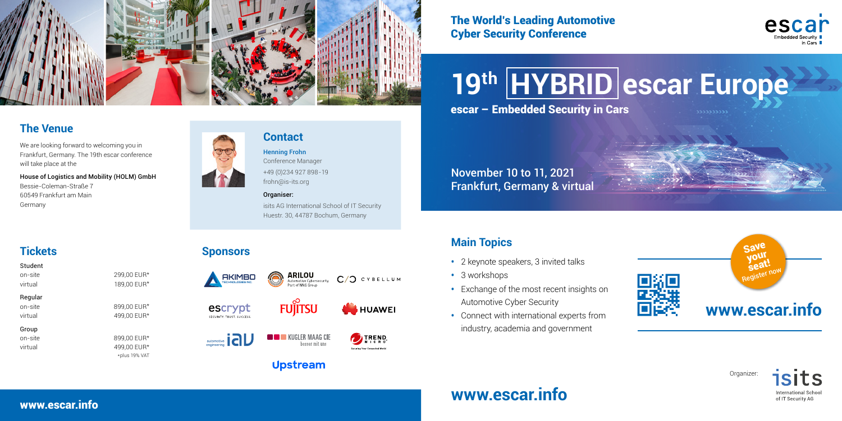## **Main Topics**

- 2 keynote speakers, 3 invited talks
- 3 workshops
- Exchange of the most recent insights on Automotive Cyber Security
- Connect with international experts from industry, academia and government



## **The Venue**

We are looking forward to welcoming you in Frankfurt, Germany. The 19th escar conference will take place at the

House of Logistics and Mobility (HOLM) GmbH Bessie-Coleman-Straße 7 60549 Frankfurt am Main Germany



## **Tickets**

| Student |               |
|---------|---------------|
| on-site | 299,00 EUR*   |
| virtual | 189,00 EUR*   |
| Regular |               |
| on-site | 899.00 EUR*   |
| virtual | 499,00 EUR*   |
| Group   |               |
| on-site | 899,00 EUR*   |
| virtual | 499,00 EUR*   |
|         | *plus 19% VAT |
|         |               |

### **Contact**



Organiser:

isits AG International School of IT Security Huestr. 30, 44787 Bochum, Germany

## The World's Leading Automotive Cyber Security Conference

### **Sponsors**

SECURITY TRUST SUCCESS

automotive

escar – Embedded Security in Cars **19th HYBRID escar Europe**

## www.escar.info **www.escar.info**







Organizer:



## **www.escar.info**

Sav your seat!

November 10 to 11, 2021 Frankfurt, Germany & virtual







C/O CYBELLUM

**TREND** 

Securing Your Connected World

#### **THE KUGLER MAAG CIE** hesser mit uns